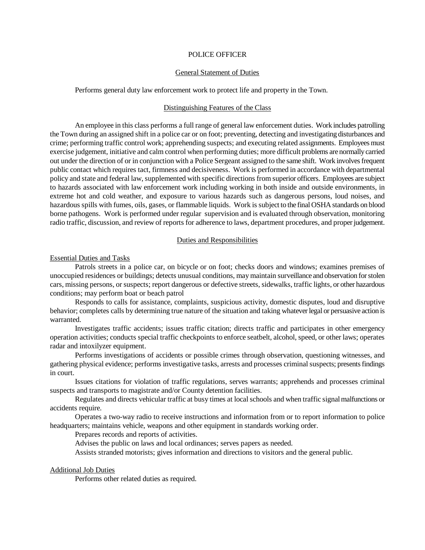### POLICE OFFICER

# General Statement of Duties

Performs general duty law enforcement work to protect life and property in the Town.

# Distinguishing Features of the Class

An employee in this class performs a full range of general law enforcement duties. Work includes patrolling the Town during an assigned shift in a police car or on foot; preventing, detecting and investigating disturbances and crime; performing traffic control work; apprehending suspects; and executing related assignments. Employees must exercise judgement, initiative and calm control when performing duties; more difficult problems are normally carried out under the direction of or in conjunction with a Police Sergeant assigned to the same shift. Work involves frequent public contact which requires tact, firmness and decisiveness. Work is performed in accordance with departmental policy and state and federal law, supplemented with specific directions from superior officers. Employees are subject to hazards associated with law enforcement work including working in both inside and outside environments, in extreme hot and cold weather, and exposure to various hazards such as dangerous persons, loud noises, and hazardous spills with fumes, oils, gases, or flammable liquids. Work is subject to the final OSHA standards on blood borne pathogens. Work is performed under regular supervision and is evaluated through observation, monitoring radio traffic, discussion, and review of reports for adherence to laws, department procedures, and proper judgement.

# Duties and Responsibilities

### Essential Duties and Tasks

Patrols streets in a police car, on bicycle or on foot; checks doors and windows; examines premises of unoccupied residences or buildings; detects unusual conditions, may maintain surveillance and observation for stolen cars, missing persons, or suspects; report dangerous or defective streets, sidewalks, traffic lights, or other hazardous conditions; may perform boat or beach patrol

Responds to calls for assistance, complaints, suspicious activity, domestic disputes, loud and disruptive behavior; completes calls by determining true nature of the situation and taking whatever legal or persuasive action is warranted.

Investigates traffic accidents; issues traffic citation; directs traffic and participates in other emergency operation activities; conducts special traffic checkpoints to enforce seatbelt, alcohol, speed, or other laws; operates radar and intoxilyzer equipment.

Performs investigations of accidents or possible crimes through observation, questioning witnesses, and gathering physical evidence; performs investigative tasks, arrests and processes criminal suspects; presents findings in court.

Issues citations for violation of traffic regulations, serves warrants; apprehends and processes criminal suspects and transports to magistrate and/or County detention facilities.

Regulates and directs vehicular traffic at busy times at local schools and when traffic signal malfunctions or accidents require.

Operates a two-way radio to receive instructions and information from or to report information to police headquarters; maintains vehicle, weapons and other equipment in standards working order.

Prepares records and reports of activities.

Advises the public on laws and local ordinances; serves papers as needed.

Assists stranded motorists; gives information and directions to visitors and the general public.

# Additional Job Duties

Performs other related duties as required.